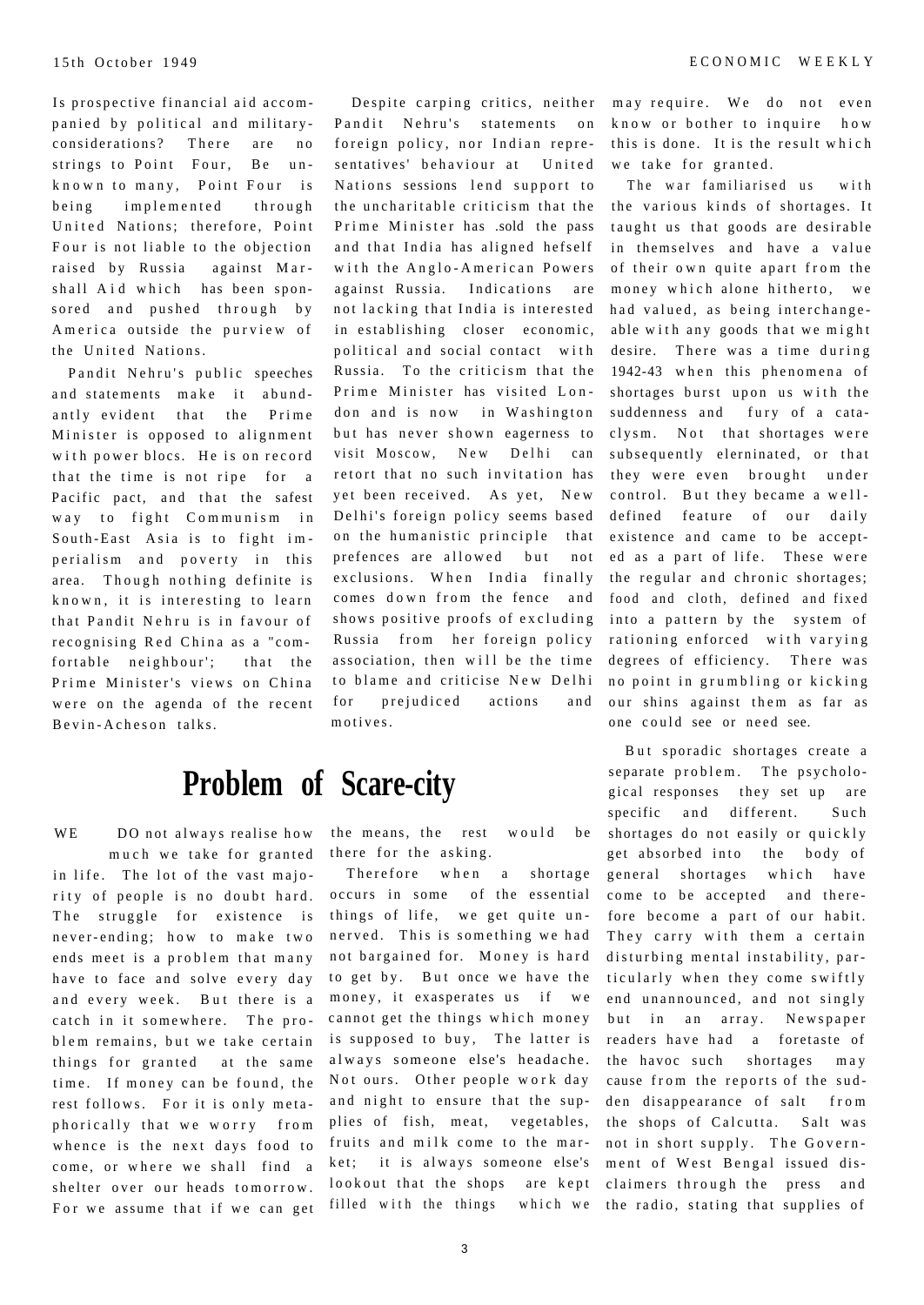Is prospective financial aid accompanied by political and militaryconsiderations? There are no strings to Point Four, Be unknown to many, Point Four is being implemented through United Nations; therefore, Point Four is not liable to the objection raised by Russia against Marshall Aid which has been sponsored and pushed through by America outside the purview of the United Nations.

Pandit Nehru's public speeches and statements make it abundantly evident that the Prime Minister is opposed to alignment with power blocs. He is on record that the time is not ripe for a Pacific pact, and that the safest way to fight Communism in South-East Asia is to fight imperialism and poverty in this area. Though nothing definite is known, it is interesting to learn that Pandit Nehru is in favour of recognising Red China as a "comfortable neighbour'; that the Prime Minister's views on China were on the agenda of the recent Bevin-Acheson talks.

WE DO not always realise how much we take for granted in life. The lot of the vast majority of people is no doubt hard. The struggle for existence is never-ending; how to make two ends meet is a problem that many have to face and solve every day and every week. But there is a catch in it somewhere. The problem remains, but we take certain things for granted at the same time. If money can be found, the rest follows. For it is only metaphorically that we worry from whence is the next days food to come, or where we shall find a shelter over our heads tomorrow. For we assume that if we can get

Despite carping critics, neither Pandit Nehru's statements on foreign policy, nor Indian representatives' behaviour at United Nations sessions lend support to the uncharitable criticism that the Prime Minister has .sold the pass and that India has aligned hefself with the Anglo-American Powers against Russia. Indications are not lacking that India is interested in establishing closer economic, political and social contact with Russia. To the criticism that the Prime Minister has visited London and is now in Washington but has never shown eagerness to visit Moscow, New Delhi can retort that no such invitation has yet been received. As yet, New Delhi's foreign policy seems based on the humanistic principle that prefences are allowed but not exclusions. When India finally comes down from the fence and shows positive proofs of excluding Russia from her foreign policy association, then will be the time to blame and criticise New Delhi for prejudiced actions and motives.

## **Problem of Scare-city**

the means, the rest would be there for the asking.

Therefore when a shortage occurs in some of the essential things of life, we get quite unnerved. This is something we had not bargained for. Money is hard to get by. But once we have the money, it exasperates us if we cannot get the things which money is supposed to buy, The latter is always someone else's headache. Not ours. Other people work day and night to ensure that the supplies of fish, meat, vegetables, fruits and milk come to the market; it is always someone else's lookout that the shops are kept filled with the things which we the radio, stating that supplies of

may require. We do not even know or bother to inquire how this is done. It is the result which we take for granted.

The war familiarised us with the various kinds of shortages. It taught us that goods are desirable in themselves and have a value of their own quite apart from the money which alone hitherto, we had valued, as being interchangeable with any goods that we might desire. There was a time during 1942-43 when this phenomena of shortages burst upon us with the suddenness and fury of a cataclysm. Not that shortages were subsequently elerninated, or that they were even brought under control. But they became a welldefined feature of our daily existence and came to be accepted as a part of life. These were the regular and chronic shortages; food and cloth, defined and fixed into a pattern by the system of rationing enforced with varying degrees of efficiency. There was no point in grumbling or kicking our shins against them as far as one could see or need see.

But sporadic shortages create a separate problem. The psychological responses they set up are specific and different. Such shortages do not easily or quickly get absorbed into the body of general shortages which have come to be accepted and therefore become a part of our habit. They carry with them a certain disturbing mental instability, particularly when they come swiftly end unannounced, and not singly but in an array. Newspaper readers have had a foretaste of the havoc such shortages may cause from the reports of the sudden disappearance of salt from the shops of Calcutta. Salt was not in short supply. The Government of West Bengal issued disclaimers through the press and